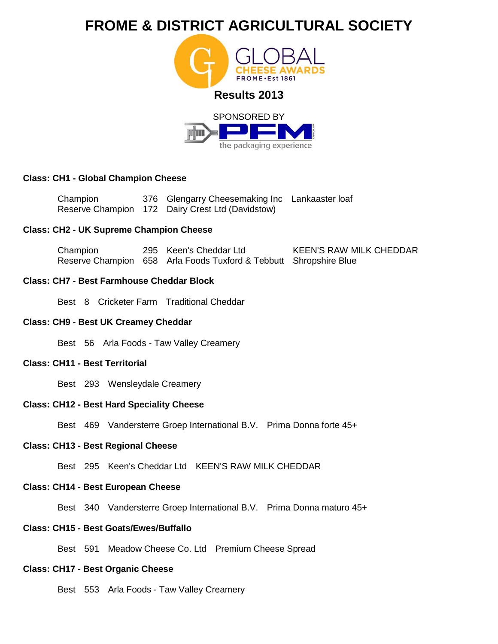

the packaging experience

# **Class: CH1 - Global Champion Cheese**

| Champion | 376 Glengarry Cheesemaking Inc Lankaaster loaf   |  |
|----------|--------------------------------------------------|--|
|          | Reserve Champion 172 Dairy Crest Ltd (Davidstow) |  |

### **Class: CH2 - UK Supreme Champion Cheese**

| Champion | 295 Keen's Cheddar Ltd                                            | <b>KEEN'S RAW MILK CHEDDAR</b> |
|----------|-------------------------------------------------------------------|--------------------------------|
|          | Reserve Champion 658 Arla Foods Tuxford & Tebbutt Shropshire Blue |                                |

# **Class: CH7 - Best Farmhouse Cheddar Block**

Best 8 Cricketer Farm Traditional Cheddar

#### **Class: CH9 - Best UK Creamey Cheddar**

Best 56 Arla Foods - Taw Valley Creamery

# **Class: CH11 - Best Territorial**

Best 293 Wensleydale Creamery

## **Class: CH12 - Best Hard Speciality Cheese**

Best 469 Vandersterre Groep International B.V. Prima Donna forte 45+

### **Class: CH13 - Best Regional Cheese**

Best 295 Keen's Cheddar Ltd KEEN'S RAW MILK CHEDDAR

## **Class: CH14 - Best European Cheese**

Best 340 Vandersterre Groep International B.V. Prima Donna maturo 45+

# **Class: CH15 - Best Goats/Ewes/Buffallo**

Best 591 Meadow Cheese Co. Ltd Premium Cheese Spread

### **Class: CH17 - Best Organic Cheese**

Best 553 Arla Foods - Taw Valley Creamery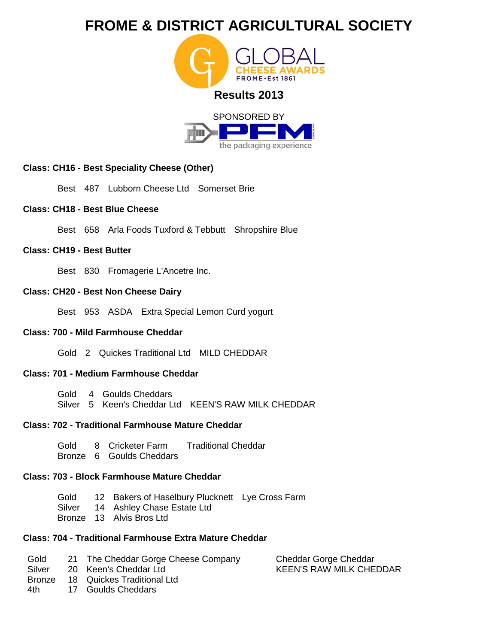



# **Class: CH16 - Best Speciality Cheese (Other)**

Best 487 Lubborn Cheese Ltd Somerset Brie

# **Class: CH18 - Best Blue Cheese**

Best 658 Arla Foods Tuxford & Tebbutt Shropshire Blue

# **Class: CH19 - Best Butter**

Best 830 Fromagerie L'Ancetre Inc.

# **Class: CH20 - Best Non Cheese Dairy**

Best 953 ASDA Extra Special Lemon Curd yogurt

# **Class: 700 - Mild Farmhouse Cheddar**

Gold 2 Quickes Traditional Ltd MILD CHEDDAR

# **Class: 701 - Medium Farmhouse Cheddar**

Gold 4 Goulds Cheddars Silver 5 Keen's Cheddar Ltd KEEN'S RAW MILK CHEDDAR

# **Class: 702 - Traditional Farmhouse Mature Cheddar**

- Gold 8 Cricketer Farm Traditional Cheddar
- Bronze 6 Goulds Cheddars

# **Class: 703 - Block Farmhouse Mature Cheddar**

- Gold 12 Bakers of Haselbury Plucknett Lye Cross Farm
- Silver 14 Ashley Chase Estate Ltd
- Bronze 13 Alvis Bros Ltd

# **Class: 704 - Traditional Farmhouse Extra Mature Cheddar**

- Gold 21 The Cheddar Gorge Cheese Company
- Silver 20 Keen's Cheddar Ltd
- Bronze 18 Quickes Traditional Ltd
- 4th 17 Goulds Cheddars

Cheddar Gorge Cheddar KEEN'S RAW MILK CHEDDAR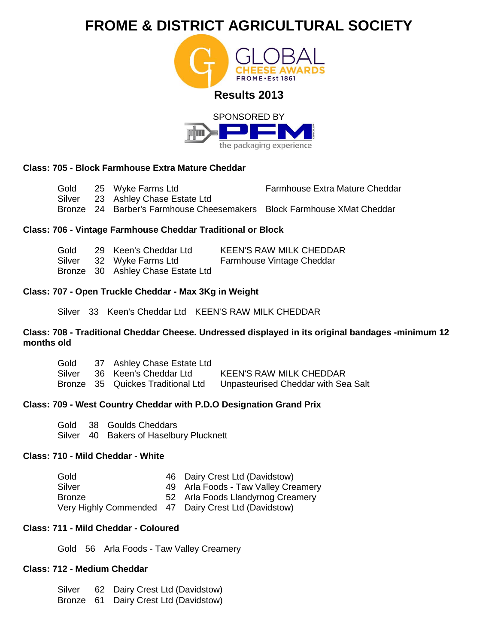



# **Class: 705 - Block Farmhouse Extra Mature Cheddar**

Gold Silver Bronze 24 Barber's Farmhouse Cheesemakers Block Farmhouse XMat Cheddar 25 Wyke Farms Ltd 23 Ashley Chase Estate Ltd Farmhouse Extra Mature Cheddar

# **Class: 706 - Vintage Farmhouse Cheddar Traditional or Block**

| Gold   | 29 Keen's Cheddar Ltd             | <b>KEEN'S RAW MILK CHEDDAR</b> |
|--------|-----------------------------------|--------------------------------|
| Silver | 32 Wyke Farms Ltd                 | Farmhouse Vintage Cheddar      |
|        | Bronze 30 Ashley Chase Estate Ltd |                                |

# **Class: 707 - Open Truckle Cheddar - Max 3Kg in Weight**

Silver 33 Keen's Cheddar Ltd KEEN'S RAW MILK CHEDDAR

## **Class: 708 - Traditional Cheddar Cheese. Undressed displayed in its original bandages -minimum 12 months old**

| Gold   | 37 Ashley Chase Estate Ltd        |                                     |
|--------|-----------------------------------|-------------------------------------|
| Silver | 36 Keen's Cheddar Ltd             | <b>KEEN'S RAW MILK CHEDDAR</b>      |
|        | Bronze 35 Quickes Traditional Ltd | Unpasteurised Cheddar with Sea Salt |

# **Class: 709 - West Country Cheddar with P.D.O Designation Grand Prix**

Gold Silver 40 Bakers of Haselbury Plucknett 38 Goulds Cheddars

# **Class: 710 - Mild Cheddar - White**

| Gold          | 46 Dairy Crest Ltd (Davidstow)                       |
|---------------|------------------------------------------------------|
| Silver        | 49 Arla Foods - Taw Valley Creamery                  |
| <b>Bronze</b> | 52 Arla Foods Llandyrnog Creamery                    |
|               | Very Highly Commended 47 Dairy Crest Ltd (Davidstow) |

# **Class: 711 - Mild Cheddar - Coloured**

Gold 56 Arla Foods - Taw Valley Creamery

# **Class: 712 - Medium Cheddar**

Silver Bronze 61 Dairy Crest Ltd (Davidstow)62 Dairy Crest Ltd (Davidstow)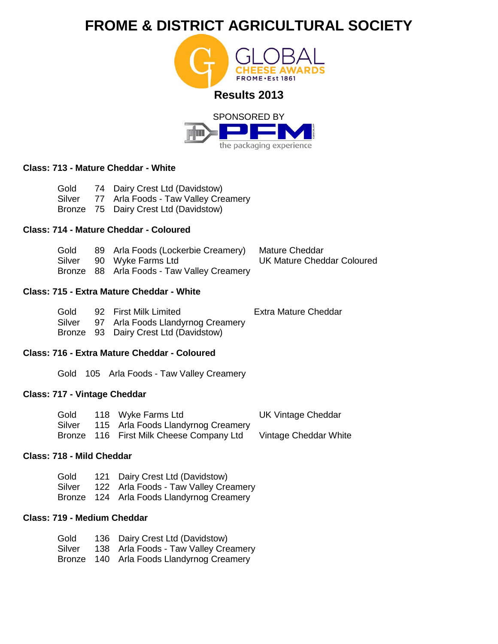



Mature Cheddar

UK Mature Cheddar Coloured

# **Class: 713 - Mature Cheddar - White**

| Gold   | 74 Dairy Crest Ltd (Davidstow)        |
|--------|---------------------------------------|
| Silver | 77 Arla Foods - Taw Valley Creamery   |
|        | Bronze 75 Dairy Crest Ltd (Davidstow) |

# **Class: 714 - Mature Cheddar - Coloured**

| Gold |  |  | 89 Arla Foods (Lockerbie Creamery) |
|------|--|--|------------------------------------|
|------|--|--|------------------------------------|

- Silver 90 Wyke Farms Ltd
- Bronze 88 Arla Foods Taw Valley Creamery

# **Class: 715 - Extra Mature Cheddar - White**

| Gold | 92 First Milk Limited                    | <b>Extra Mature Cheddar</b> |
|------|------------------------------------------|-----------------------------|
|      | Silver 97 Arla Foods Llandyrnog Creamery |                             |
|      | $D_{\text{mean}} \cap D_{\text{mean}}$   |                             |

Bronze 93 Dairy Crest Ltd (Davidstow)

## **Class: 716 - Extra Mature Cheddar - Coloured**

Gold 105 Arla Foods - Taw Valley Creamery

# **Class: 717 - Vintage Cheddar**

| Gold   | 118 Wyke Farms Ltd                       | <b>UK Vintage Cheddar</b> |
|--------|------------------------------------------|---------------------------|
| Silver | 115 Arla Foods Llandyrnog Creamery       |                           |
|        | Bronze 116 First Milk Cheese Company Ltd | Vintage Cheddar White     |

## **Class: 718 - Mild Cheddar**

| Gold   | 121 Dairy Crest Ltd (Davidstow)           |
|--------|-------------------------------------------|
| Silver | 122 Arla Foods - Taw Valley Creamery      |
|        | Bronze 124 Arla Foods Llandyrnog Creamery |

# **Class: 719 - Medium Cheddar**

| Gold   | 136 Dairy Crest Ltd (Davidstow)           |
|--------|-------------------------------------------|
| Silver | 138 Arla Foods - Taw Valley Creamery      |
|        | Bronze 140 Arla Foods Llandyrnog Creamery |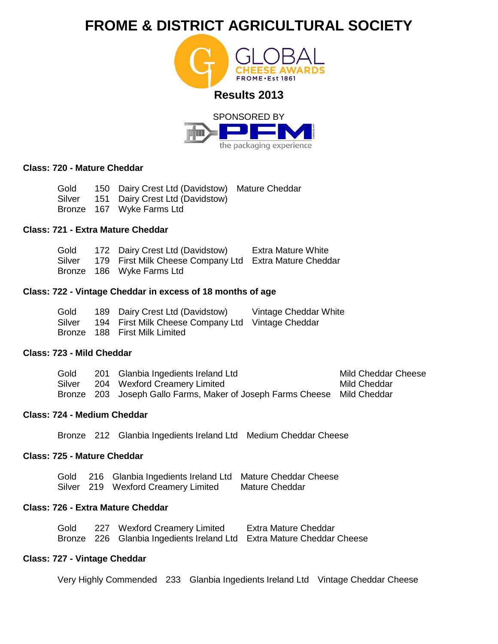



### **Class: 720 - Mature Cheddar**

Gold Silver Bronze 167 Wyke Farms Ltd 150 Dairy Crest Ltd (Davidstow) Mature Cheddar 151 Dairy Crest Ltd (Davidstow)

# **Class: 721 - Extra Mature Cheddar**

| Gold   | 172 Dairy Crest Ltd (Davidstow)                        | <b>Extra Mature White</b> |
|--------|--------------------------------------------------------|---------------------------|
| Silver | 179 First Milk Cheese Company Ltd Extra Mature Cheddar |                           |
|        | Bronze 186 Wyke Farms Ltd                              |                           |

### **Class: 722 - Vintage Cheddar in excess of 18 months of age**

| Gold   | 189 Dairy Crest Ltd (Davidstow)                   | Vintage Cheddar White |
|--------|---------------------------------------------------|-----------------------|
| Silver | 194 First Milk Cheese Company Ltd Vintage Cheddar |                       |
|        | Bronze 188 First Milk Limited                     |                       |

#### **Class: 723 - Mild Cheddar**

| Gold   | 201 Glanbia Ingedients Ireland Ltd                                       | <b>Mild Cheddar Cheese</b> |
|--------|--------------------------------------------------------------------------|----------------------------|
| Silver | 204 Wexford Creamery Limited                                             | Mild Cheddar               |
|        | Bronze 203 Joseph Gallo Farms, Maker of Joseph Farms Cheese Mild Cheddar |                            |

## **Class: 724 - Medium Cheddar**

Bronze 212 Glanbia Ingedients Ireland Ltd Medium Cheddar Cheese

# **Class: 725 - Mature Cheddar**

Gold 216 Glanbia Ingedients Ireland Ltd Mature Cheddar Cheese Silver 219 Wexford Creamery Limited Mature Cheddar

# **Class: 726 - Extra Mature Cheddar**

| Gold | 227 Wexford Creamery Limited                                          | Extra Mature Cheddar |
|------|-----------------------------------------------------------------------|----------------------|
|      | Bronze 226 Glanbia Ingedients Ireland Ltd Extra Mature Cheddar Cheese |                      |

# **Class: 727 - Vintage Cheddar**

Very Highly Commended 233 Glanbia Ingedients Ireland Ltd Vintage Cheddar Cheese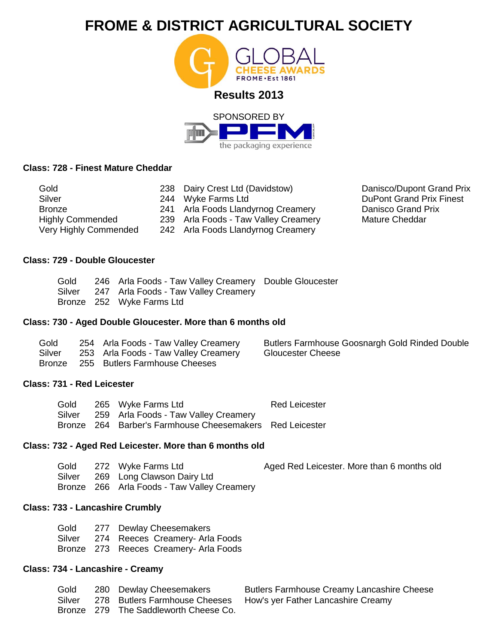



# **Class: 728 - Finest Mature Cheddar**

| Gold                    | 238 Dairy Crest Ltd (Davidstow)      |
|-------------------------|--------------------------------------|
| Silver                  | 244 Wyke Farms Ltd                   |
| <b>Bronze</b>           | 241 Arla Foods Llandyrnog Creamery   |
| <b>Highly Commended</b> | 239 Arla Foods - Taw Valley Creamery |
| Very Highly Commended   | 242 Arla Foods Llandyrnog Creamery   |

Danisco/Dupont Grand Prix DuPont Grand Prix Finest Danisco Grand Prix Mature Cheddar

# **Class: 729 - Double Gloucester**

|  | Gold 246 Arla Foods - Taw Valley Creamery Double Gloucester |  |
|--|-------------------------------------------------------------|--|
|  | Silver 247 Arla Foods - Taw Valley Creamery                 |  |
|  | Bronze 252 Wyke Farms Ltd                                   |  |

#### **Class: 730 - Aged Double Gloucester. More than 6 months old**

| Gold   | 254 Arla Foods - Taw Valley Creamery | Butlers Farmhouse Goosnargh Gold Rinded Double |
|--------|--------------------------------------|------------------------------------------------|
| Silver | 253 Arla Foods - Taw Valley Creamery | Gloucester Cheese                              |
|        | Bronze 255 Butlers Farmhouse Cheeses |                                                |

#### **Class: 731 - Red Leicester**

| Gold   | 265 Wyke Farms Ltd                                       | <b>Red Leicester</b> |
|--------|----------------------------------------------------------|----------------------|
| Silver | 259 Arla Foods - Taw Valley Creamery                     |                      |
|        | Bronze 264 Barber's Farmhouse Cheesemakers Red Leicester |                      |

## **Class: 732 - Aged Red Leicester. More than 6 months old**

| Gold   | 272 Wyke Farms Ltd                          | Aged Red Leicester. More than 6 months old |
|--------|---------------------------------------------|--------------------------------------------|
| Silver | 269 Long Clawson Dairy Ltd                  |                                            |
|        | Bronze 266 Arla Foods - Taw Valley Creamery |                                            |

### **Class: 733 - Lancashire Crumbly**

| Gold |  | 277 Dewlay Cheesemakers                |
|------|--|----------------------------------------|
|      |  | Silver 274 Reeces Creamery- Arla Foods |
|      |  | Bronze 273 Reeces Creamery- Arla Foods |

# **Class: 734 - Lancashire - Creamy**

**Gold Silver** Bronze 279 The Saddleworth Cheese Co. 280 Dewlay Cheesemakers 278 Butlers Farmhouse Cheeses

Butlers Farmhouse Creamy Lancashire Cheese How's yer Father Lancashire Creamy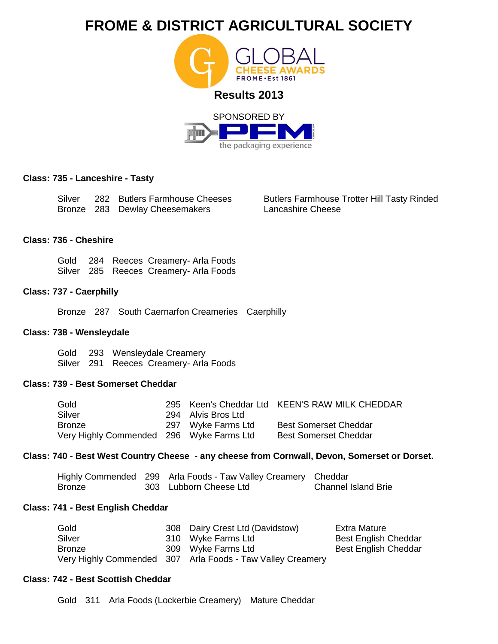

### **Class: 735 - Lanceshire - Tasty**

Silver 282 Butlers Farmhouse Cheeses Bronze 283 Dewlay Cheesemakers

Butlers Farmhouse Trotter Hill Tasty Rinded Lancashire Cheese

#### **Class: 736 - Cheshire**

Gold 284 Reeces Creamery- Arla Foods Silver 285 Reeces Creamery- Arla Foods

### **Class: 737 - Caerphilly**

Bronze 287 South Caernarfon Creameries Caerphilly

# **Class: 738 - Wensleydale**

Gold 293 Wensleydale Creamery Silver 291 Reeces Creamery- Arla Foods

# **Class: 739 - Best Somerset Cheddar**

| Gold                                     |                    | 295 Keen's Cheddar Ltd KEEN'S RAW MILK CHEDDAR |
|------------------------------------------|--------------------|------------------------------------------------|
| Silver                                   | 294 Alvis Bros Ltd |                                                |
| <b>Bronze</b>                            | 297 Wyke Farms Ltd | <b>Best Somerset Cheddar</b>                   |
| Very Highly Commended 296 Wyke Farms Ltd |                    | <b>Best Somerset Cheddar</b>                   |

# **Class: 740 - Best West Country Cheese - any cheese from Cornwall, Devon, Somerset or Dorset.**

|        | Highly Commended 299 Arla Foods - Taw Valley Creamery Cheddar |                            |
|--------|---------------------------------------------------------------|----------------------------|
| Bronze | 303 Lubborn Cheese Ltd                                        | <b>Channel Island Brie</b> |

#### **Class: 741 - Best English Cheddar**

| Gold          | 308 Dairy Crest Ltd (Davidstow)                            | Extra Mature                |
|---------------|------------------------------------------------------------|-----------------------------|
| Silver        | 310 Wyke Farms Ltd                                         | <b>Best English Cheddar</b> |
| <b>Bronze</b> | 309 Wyke Farms Ltd                                         | <b>Best English Cheddar</b> |
|               | Very Highly Commended 307 Arla Foods - Taw Valley Creamery |                             |

# **Class: 742 - Best Scottish Cheddar**

Gold 311 Arla Foods (Lockerbie Creamery) Mature Cheddar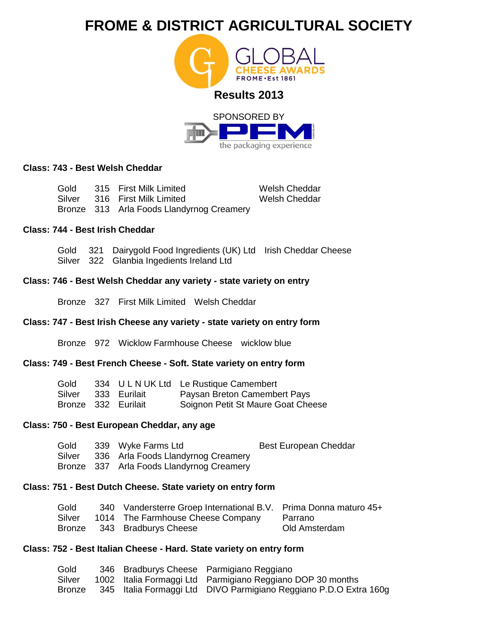



## **Class: 743 - Best Welsh Cheddar**

Gold Silver Bronze 313 Arla Foods Llandyrnog Creamery 315 First Milk Limited 316 First Milk Limited

Welsh Cheddar Welsh Cheddar

## **Class: 744 - Best Irish Cheddar**

Gold 321 Dairygold Food Ingredients (UK) Ltd Irish Cheddar Cheese Silver 322 Glanbia Ingedients Ireland Ltd

### **Class: 746 - Best Welsh Cheddar any variety - state variety on entry**

Bronze 327 First Milk Limited Welsh Cheddar

#### **Class: 747 - Best Irish Cheese any variety - state variety on entry form**

Bronze 972 Wicklow Farmhouse Cheese wicklow blue

#### **Class: 749 - Best French Cheese - Soft. State variety on entry form**

| Gold                |                     | 334 ULNUK Ltd Le Rustique Camembert |
|---------------------|---------------------|-------------------------------------|
|                     | Silver 333 Eurilait | Paysan Breton Camembert Pays        |
| Bronze 332 Eurilait |                     | Soignon Petit St Maure Goat Cheese  |

### **Class: 750 - Best European Cheddar, any age**

- Gold 339 Wyke Farms Ltd Best European Cheddar
- Silver 336 Arla Foods Llandyrnog Creamery
- Bronze 337 Arla Foods Llandyrnog Creamery

# **Class: 751 - Best Dutch Cheese. State variety on entry form**

| Gold   | 340 Vandersterre Groep International B.V. Prima Donna maturo 45+ |               |
|--------|------------------------------------------------------------------|---------------|
| Silver | 1014 The Farmhouse Cheese Company                                | Parrano       |
|        | Bronze 343 Bradburys Cheese                                      | Old Amsterdam |

# **Class: 752 - Best Italian Cheese - Hard. State variety on entry form**

| Gold   |  | 346 Bradburys Cheese Parmigiano Reggiano                          |
|--------|--|-------------------------------------------------------------------|
| Silver |  | 1002 Italia Formaggi Ltd Parmigiano Reggiano DOP 30 months        |
| Bronze |  | 345 Italia Formaggi Ltd DIVO Parmigiano Reggiano P.D.O Extra 160g |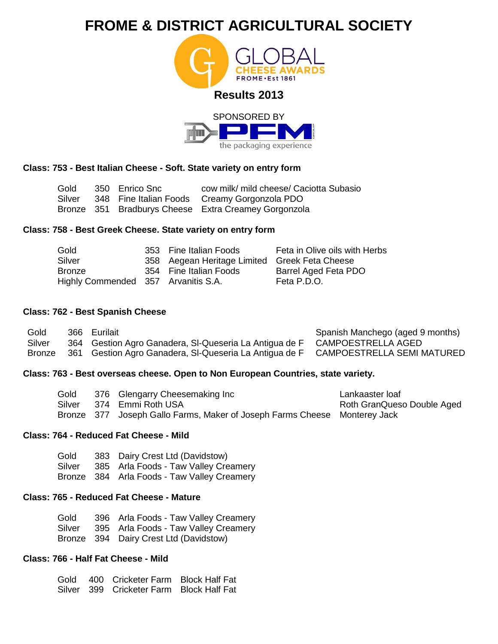



## **Class: 753 - Best Italian Cheese - Soft. State variety on entry form**

Gold Silver Bronze 351 Bradburys Cheese Extra Creamey Gorgonzola 350 Enrico Snc 348 Fine Italian Foods cow milk/ mild cheese/ Caciotta Subasio Creamy Gorgonzola PDO

## **Class: 758 - Best Greek Cheese. State variety on entry form**

| Gold                                | 353 Fine Italian Foods                        | Feta in Olive oils with Herbs |
|-------------------------------------|-----------------------------------------------|-------------------------------|
| Silver                              | 358 Aegean Heritage Limited Greek Feta Cheese |                               |
| <b>Bronze</b>                       | 354 Fine Italian Foods                        | Barrel Aged Feta PDO          |
| Highly Commended 357 Arvanitis S.A. |                                               | Feta P.D.O.                   |

### **Class: 762 - Best Spanish Cheese**

| Gold   | 366 Eurilait                                           | Spanish Manchego (aged 9 months)  |
|--------|--------------------------------------------------------|-----------------------------------|
| Silver | 364 Gestion Agro Ganadera, SI-Queseria La Antigua de F | CAMPOESTRELLA AGED                |
| Bronze | 361 Gestion Agro Ganadera, SI-Queseria La Antigua de F | <b>CAMPOESTRELLA SEMI MATURED</b> |

## **Class: 763 - Best overseas cheese. Open to Non European Countries, state variety.**

| Gold   | 376 Glengarry Cheesemaking Inc                                            | Lankaaster loaf            |
|--------|---------------------------------------------------------------------------|----------------------------|
| Silver | 374 Emmi Roth USA                                                         | Roth GranQueso Double Aged |
|        | Bronze 377 Joseph Gallo Farms, Maker of Joseph Farms Cheese Monterey Jack |                            |

## **Class: 764 - Reduced Fat Cheese - Mild**

Gold Silver Bronze 384 Arla Foods - Taw Valley Creamery 383 Dairy Crest Ltd (Davidstow) 385 Arla Foods - Taw Valley Creamery

# **Class: 765 - Reduced Fat Cheese - Mature**

Gold Silver Bronze 394 Dairy Crest Ltd (Davidstow) 396 Arla Foods - Taw Valley Creamery 395 Arla Foods - Taw Valley Creamery

# **Class: 766 - Half Fat Cheese - Mild**

Gold 400 Cricketer Farm Block Half Fat Silver 399 Cricketer Farm Block Half Fat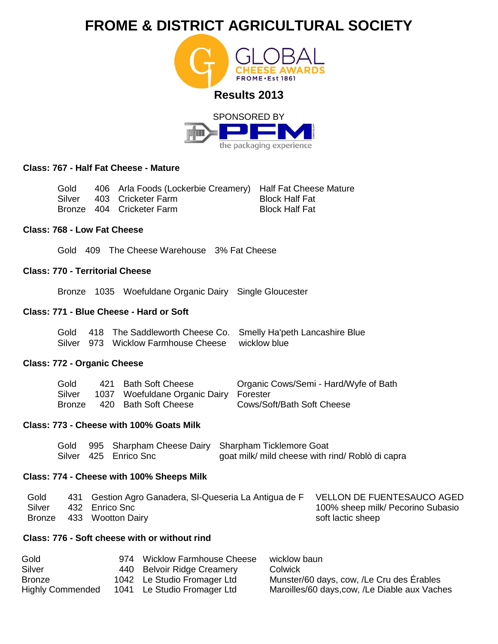

the packaging experience



| Gold | 406 Arla Foods (Lockerbie Creamery) Half Fat Cheese Mature |                       |
|------|------------------------------------------------------------|-----------------------|
|      | Silver 403 Cricketer Farm                                  | Block Half Fat        |
|      | Bronze 404 Cricketer Farm                                  | <b>Block Half Fat</b> |

# **Class: 768 - Low Fat Cheese**

Gold 409 The Cheese Warehouse 3% Fat Cheese

# **Class: 770 - Territorial Cheese**

Bronze 1035 Woefuldane Organic Dairy Single Gloucester

# **Class: 771 - Blue Cheese - Hard or Soft**

|  |                                                  | Gold 418 The Saddleworth Cheese Co. Smelly Ha'peth Lancashire Blue |
|--|--------------------------------------------------|--------------------------------------------------------------------|
|  | Silver 973 Wicklow Farmhouse Cheese wicklow blue |                                                                    |

# **Class: 772 - Organic Cheese**

| Gold   | 421 Bath Soft Cheese                   | Organic Cows/Semi - Hard/Wyfe of Bath |
|--------|----------------------------------------|---------------------------------------|
| Silver | 1037 Woefuldane Organic Dairy Forester |                                       |
| Bronze | 420 Bath Soft Cheese                   | Cows/Soft/Bath Soft Cheese            |

# **Class: 773 - Cheese with 100% Goats Milk**

|  |                       | Gold 995 Sharpham Cheese Dairy Sharpham Ticklemore Goat |
|--|-----------------------|---------------------------------------------------------|
|  | Silver 425 Enrico Snc | goat milk/ mild cheese with rind/ Roblò di capra        |

## **Class: 774 - Cheese with 100% Sheeps Milk**

| Gold   | 431 Gestion Agro Ganadera, SI-Queseria La Antigua de F | VELLON DE FUENTESAUCO AGED        |
|--------|--------------------------------------------------------|-----------------------------------|
| Silver | 432 Enrico Snc                                         | 100% sheep milk/ Pecorino Subasio |
|        | Bronze 433 Wootton Dairy                               | soft lactic sheep                 |

# **Class: 776 - Soft cheese with or without rind**

| Gold                    | 974 Wicklow Farmhouse Cheese | wicklow baun                                  |
|-------------------------|------------------------------|-----------------------------------------------|
| Silver                  | 440 Belvoir Ridge Creamery   | Colwick                                       |
| <b>Bronze</b>           | 1042 Le Studio Fromager Ltd  | Munster/60 days, cow, /Le Cru des Érables     |
| <b>Highly Commended</b> | 1041 Le Studio Fromager Ltd  | Maroilles/60 days, cow, /Le Diable aux Vaches |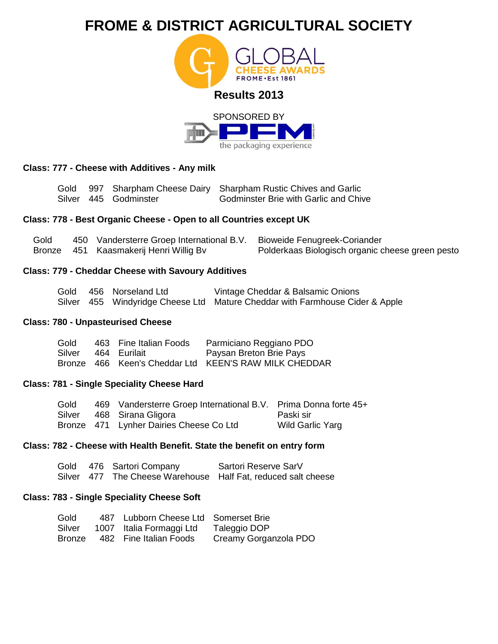



# **Class: 777 - Cheese with Additives - Any milk**

|  |                       | Gold 997 Sharpham Cheese Dairy Sharpham Rustic Chives and Garlic |
|--|-----------------------|------------------------------------------------------------------|
|  | Silver 445 Godminster | <b>Godminster Brie with Garlic and Chive</b>                     |

# **Class: 778 - Best Organic Cheese - Open to all Countries except UK**

| Gold | 450 Vandersterre Groep International B.V. Bioweide Fenugreek-Coriander |                                                  |
|------|------------------------------------------------------------------------|--------------------------------------------------|
|      | Bronze 451 Kaasmakerij Henri Willig Bv                                 | Polderkaas Biologisch organic cheese green pesto |

# **Class: 779 - Cheddar Cheese with Savoury Additives**

|  | Gold 456 Norseland Ltd | Vintage Cheddar & Balsamic Onions                                            |
|--|------------------------|------------------------------------------------------------------------------|
|  |                        | Silver 455 Windyridge Cheese Ltd Mature Cheddar with Farmhouse Cider & Apple |

# **Class: 780 - Unpasteurised Cheese**

| Gold | 463 Fine Italian Foods | Parmiciano Reggiano PDO                               |
|------|------------------------|-------------------------------------------------------|
|      | Silver 464 Eurilait    | Paysan Breton Brie Pays                               |
|      |                        | Bronze 466 Keen's Cheddar Ltd KEEN'S RAW MILK CHEDDAR |

## **Class: 781 - Single Speciality Cheese Hard**

| Gold | 469 Vandersterre Groep International B.V. Prima Donna forte 45+ |                  |
|------|-----------------------------------------------------------------|------------------|
|      | Silver 468 Sirana Gligora                                       | - Paski sir      |
|      | Bronze 471 Lynher Dairies Cheese Co Ltd                         | Wild Garlic Yarg |

# **Class: 782 - Cheese with Health Benefit. State the benefit on entry form**

|  | Gold 476 Sartori Company | Sartori Reserve SarV                                          |
|--|--------------------------|---------------------------------------------------------------|
|  |                          | Silver 477 The Cheese Warehouse Half Fat, reduced salt cheese |

# **Class: 783 - Single Speciality Cheese Soft**

| Gold   | 487 Lubborn Cheese Ltd Somerset Brie |                       |
|--------|--------------------------------------|-----------------------|
| Silver | 1007 Italia Formaggi Ltd             | Taleggio DOP          |
| Bronze | 482 Fine Italian Foods               | Creamy Gorganzola PDO |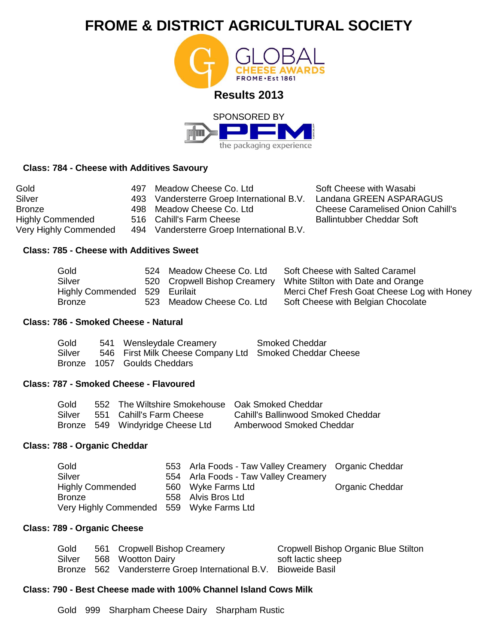



# **Class: 784 - Cheese with Additives Savoury**

| Gold<br>Silver<br><b>Bronze</b> | 497 | Meadow Cheese Co. Ltd<br>493 Vandersterre Groep International B.V.<br>498 Meadow Cheese Co. Ltd | Soft Cheese with Wasabi<br>Landana GREEN ASPARAGUS<br><b>Cheese Caramelised Onion Cahill's</b> |
|---------------------------------|-----|-------------------------------------------------------------------------------------------------|------------------------------------------------------------------------------------------------|
| <b>Highly Commended</b>         |     | 516 Cahill's Farm Cheese                                                                        | <b>Ballintubber Cheddar Soft</b>                                                               |
| Very Highly Commended           |     | 494 Vandersterre Groep International B.V.                                                       |                                                                                                |

# **Class: 785 - Cheese with Additives Sweet**

| Gold                          | 524 Meadow Cheese Co. Ltd    | Soft Cheese with Salted Caramel             |
|-------------------------------|------------------------------|---------------------------------------------|
| Silver                        | 520 Cropwell Bishop Creamery | White Stilton with Date and Orange          |
| Highly Commended 529 Eurilait |                              | Merci Chef Fresh Goat Cheese Log with Honey |
| Bronze                        | 523 Meadow Cheese Co. Ltd    | Soft Cheese with Belgian Chocolate          |

# **Class: 786 - Smoked Cheese - Natural**

| Gold   | 541 Wensleydale Creamery                                | <b>Smoked Cheddar</b> |
|--------|---------------------------------------------------------|-----------------------|
| Silver | 546 First Milk Cheese Company Ltd Smoked Cheddar Cheese |                       |
|        | Bronze 1057 Goulds Cheddars                             |                       |

# **Class: 787 - Smoked Cheese - Flavoured**

| Gold   | 552 The Wiltshire Smokehouse Oak Smoked Cheddar |                                    |
|--------|-------------------------------------------------|------------------------------------|
| Silver | 551 Cahill's Farm Cheese                        | Cahill's Ballinwood Smoked Cheddar |
|        | Bronze 549 Windyridge Cheese Ltd                | Amberwood Smoked Cheddar           |

# **Class: 788 - Organic Cheddar**

| Gold                                     | 553 Arla Foods - Taw Valley Creamery Organic Cheddar |                 |
|------------------------------------------|------------------------------------------------------|-----------------|
| Silver                                   | 554 Arla Foods - Taw Valley Creamery                 |                 |
| <b>Highly Commended</b>                  | 560 Wyke Farms Ltd                                   | Organic Cheddar |
| Bronze                                   | 558 Alvis Bros Ltd                                   |                 |
| Very Highly Commended 559 Wyke Farms Ltd |                                                      |                 |

# **Class: 789 - Organic Cheese**

| Gold   | 561 Cropwell Bishop Creamery                                    | Cropwell Bishop Organic Blue Stilton |
|--------|-----------------------------------------------------------------|--------------------------------------|
| Silver | 568 Wootton Dairy                                               | soft lactic sheep                    |
|        | Bronze 562 Vandersterre Groep International B.V. Bioweide Basil |                                      |

# **Class: 790 - Best Cheese made with 100% Channel Island Cows Milk**

Gold 999 Sharpham Cheese Dairy Sharpham Rustic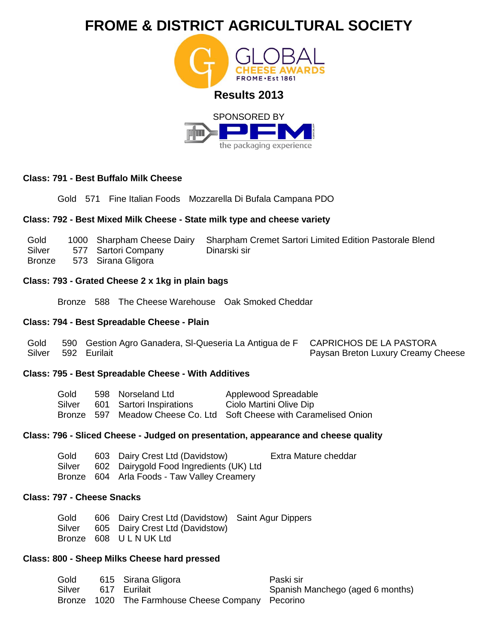

## **Class: 791 - Best Buffalo Milk Cheese**

Gold 571 Fine Italian Foods Mozzarella Di Bufala Campana PDO

### **Class: 792 - Best Mixed Milk Cheese - State milk type and cheese variety**

| Gold   |                     | 1000 Sharpham Cheese Dairy Sharpham Cremet Sartori Limited Edition Pastorale Blend |
|--------|---------------------|------------------------------------------------------------------------------------|
| Silver | 577 Sartori Company | Dinarski sir                                                                       |
| Bronze | 573 Sirana Gligora  |                                                                                    |

# **Class: 793 - Grated Cheese 2 x 1kg in plain bags**

Bronze 588 The Cheese Warehouse Oak Smoked Cheddar

# **Class: 794 - Best Spreadable Cheese - Plain**

| Gold | 590 Gestion Agro Ganadera, SI-Queseria La Antigua de F CAPRICHOS DE LA PASTORA |                                    |
|------|--------------------------------------------------------------------------------|------------------------------------|
|      | Silver 592 Eurilait                                                            | Paysan Breton Luxury Creamy Cheese |

#### **Class: 795 - Best Spreadable Cheese - With Additives**

| Gold   | 598 Norseland Ltd        | Applewood Spreadable                                                |
|--------|--------------------------|---------------------------------------------------------------------|
| Silver | 601 Sartori Inspirations | Ciolo Martini Olive Dip                                             |
|        |                          | Bronze 597 Meadow Cheese Co. Ltd Soft Cheese with Caramelised Onion |

## **Class: 796 - Sliced Cheese - Judged on presentation, appearance and cheese quality**

| Gold   | 603 Dairy Crest Ltd (Davidstow)         | Extra Mature cheddar |
|--------|-----------------------------------------|----------------------|
| Silver | 602 Dairygold Food Ingredients (UK) Ltd |                      |

Bronze 604 Arla Foods - Taw Valley Creamery

## **Class: 797 - Cheese Snacks**

Gold Silver Bronze 608 U L N UK Ltd 606 Dairy Crest Ltd (Davidstow) Saint Agur Dippers 605 Dairy Crest Ltd (Davidstow)

# **Class: 800 - Sheep Milks Cheese hard pressed**

| Gold   | 615 Sirana Gligora                                | Paski sir                        |
|--------|---------------------------------------------------|----------------------------------|
| Silver | - 617 Eurilait                                    | Spanish Manchego (aged 6 months) |
|        | Bronze 1020 The Farmhouse Cheese Company Pecorino |                                  |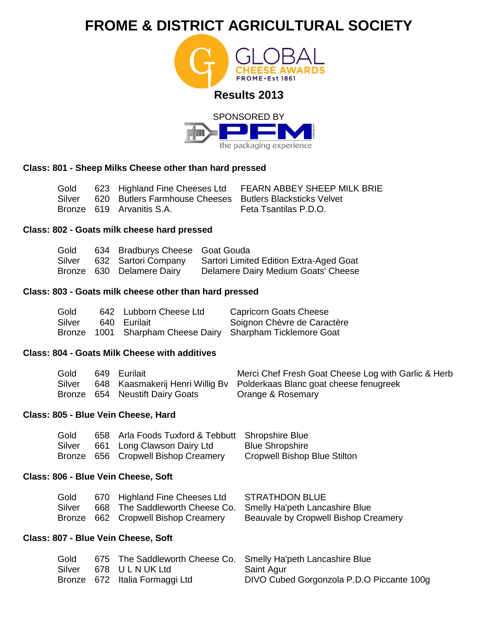



## **Class: 801 - Sheep Milks Cheese other than hard pressed**

Gold Silver Bronze 619 Arvanitis S.A. 623 Highland Fine Cheeses Ltd 620 Butlers Farmhouse Cheeses Butlers Blacksticks Velvet FEARN ABBEY SHEEP MILK BRIE Feta Tsantilas P.D.O.

### **Class: 802 - Goats milk cheese hard pressed**

| Gold   | 634 Bradburys Cheese Goat Gouda |                                                |
|--------|---------------------------------|------------------------------------------------|
| Silver | 632 Sartori Company             | <b>Sartori Limited Edition Extra-Aged Goat</b> |
|        | Bronze 630 Delamere Dairy       | Delamere Dairy Medium Goats' Cheese            |

### **Class: 803 - Goats milk cheese other than hard pressed**

| Gold   | 642 Lubborn Cheese Ltd | <b>Capricorn Goats Cheese</b>                              |
|--------|------------------------|------------------------------------------------------------|
| Silver | 640 Eurilait           | Soignon Chèvre de Caractère                                |
|        |                        | Bronze 1001 Sharpham Cheese Dairy Sharpham Ticklemore Goat |

#### **Class: 804 - Goats Milk Cheese with additives**

| Gold   | 649 Eurilait                    | Merci Chef Fresh Goat Cheese Log with Garlic & Herb                    |
|--------|---------------------------------|------------------------------------------------------------------------|
| Silver |                                 | 648 Kaasmakerij Henri Willig By Polderkaas Blanc goat cheese fenugreek |
|        | Bronze 654 Neustift Dairy Goats | Orange & Rosemary                                                      |

#### **Class: 805 - Blue Vein Cheese, Hard**

| Gold   | 658 Arla Foods Tuxford & Tebbutt Shropshire Blue |                              |
|--------|--------------------------------------------------|------------------------------|
| Silver | 661 Long Clawson Dairy Ltd                       | <b>Blue Shropshire</b>       |
|        | Bronze 656 Cropwell Bishop Creamery              | Cropwell Bishop Blue Stilton |

## **Class: 806 - Blue Vein Cheese, Soft**

| Gold   | 670 Highland Fine Cheeses Ltd       | STRATHDON BLUE                                                |
|--------|-------------------------------------|---------------------------------------------------------------|
| Silver |                                     | 668 The Saddleworth Cheese Co. Smelly Ha'peth Lancashire Blue |
|        | Bronze 662 Cropwell Bishop Creamery | Beauvale by Cropwell Bishop Creamery                          |

## **Class: 807 - Blue Vein Cheese, Soft**

| Gold |                                | 675 The Saddleworth Cheese Co. Smelly Ha'peth Lancashire Blue |
|------|--------------------------------|---------------------------------------------------------------|
|      | Silver 678 ULNUK Ltd           | Saint Agur                                                    |
|      | Bronze 672 Italia Formaggi Ltd | DIVO Cubed Gorgonzola P.D.O Piccante 100g                     |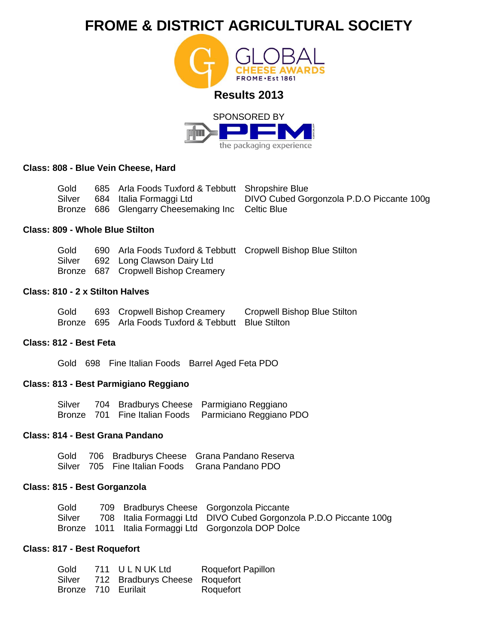



### **Class: 808 - Blue Vein Cheese, Hard**

Gold Silver Bronze 686 Glengarry Cheesemaking Inc Celtic Blue 685 Arla Foods Tuxford & Tebbutt Shropshire Blue 684 Italia Formaggi Ltd DIVO Cubed Gorgonzola P.D.O Piccante 100g

## **Class: 809 - Whole Blue Stilton**

Gold Silver 690 Arla Foods Tuxford & Tebbutt Cropwell Bishop Blue Stilton 692 Long Clawson Dairy Ltd

Bronze 687 Cropwell Bishop Creamery

## **Class: 810 - 2 x Stilton Halves**

Gold Bronze 695 Arla Foods Tuxford & Tebbutt Blue Stilton 693 Cropwell Bishop Creamery Cropwell Bishop Blue Stilton

### **Class: 812 - Best Feta**

Gold 698 Fine Italian Foods Barrel Aged Feta PDO

## **Class: 813 - Best Parmigiano Reggiano**

| Silver |  | 704 Bradburys Cheese Parmigiano Reggiano              |
|--------|--|-------------------------------------------------------|
|        |  | Bronze 701 Fine Italian Foods Parmiciano Reggiano PDO |

# **Class: 814 - Best Grana Pandano**

|  | Gold 706 Bradburys Cheese Grana Pandano Reserva |
|--|-------------------------------------------------|
|  | Silver 705 Fine Italian Foods Grana Pandano PDO |

#### **Class: 815 - Best Gorganzola**

| Gold   |  | 709 Bradburys Cheese Gorgonzola Piccante                          |
|--------|--|-------------------------------------------------------------------|
| Silver |  | 708 Italia Formaggi Ltd DIVO Cubed Gorgonzola P.D.O Piccante 100g |
|        |  | Bronze 1011 Italia Formaggi Ltd Gorgonzola DOP Dolce              |

### **Class: 817 - Best Roquefort**

| Gold   | 711 ULNUKLtd                   | <b>Roquefort Papillon</b> |
|--------|--------------------------------|---------------------------|
| Silver | 712 Bradburys Cheese Roquefort |                           |
|        | Bronze 710 Eurilait            | Roquefort                 |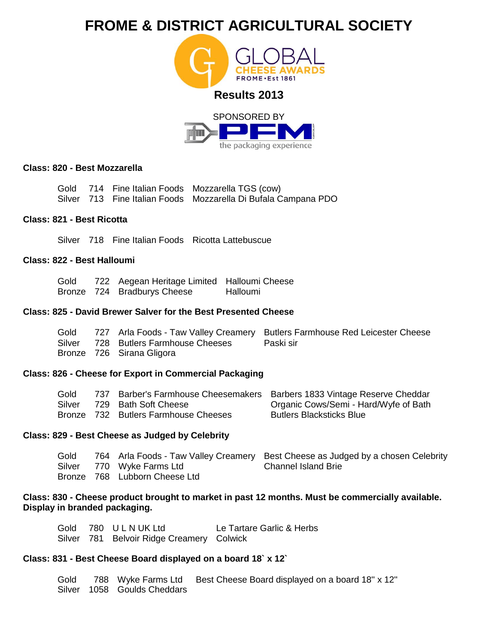

the packaging experience

## **Class: 820 - Best Mozzarella**

|  | Gold 714 Fine Italian Foods Mozzarella TGS (cow)               |
|--|----------------------------------------------------------------|
|  | Silver 713 Fine Italian Foods Mozzarella Di Bufala Campana PDO |

# **Class: 821 - Best Ricotta**

Silver 718 Fine Italian Foods Ricotta Lattebuscue

# **Class: 822 - Best Halloumi**

Gold Bronze 724 Bradburys Cheese 722 Aegean Heritage Limited Halloumi Cheese Halloumi

### **Class: 825 - David Brewer Salver for the Best Presented Cheese**

| Gold |                                      | 727 Arla Foods - Taw Valley Creamery Butlers Farmhouse Red Leicester Cheese |
|------|--------------------------------------|-----------------------------------------------------------------------------|
|      | Silver 728 Butlers Farmhouse Cheeses | - Paski sir                                                                 |
|      | Bronze 726 Sirana Gligora            |                                                                             |

## **Class: 826 - Cheese for Export in Commercial Packaging**

| Gold   |                                      | 737 Barber's Farmhouse Cheesemakers Barbers 1833 Vintage Reserve Cheddar |
|--------|--------------------------------------|--------------------------------------------------------------------------|
| Silver | 729 Bath Soft Cheese                 | Organic Cows/Semi - Hard/Wyfe of Bath                                    |
|        | Bronze 732 Butlers Farmhouse Cheeses | <b>Butlers Blacksticks Blue</b>                                          |

## **Class: 829 - Best Cheese as Judged by Celebrity**

| Gold |                               | 764 Arla Foods - Taw Valley Creamery Best Cheese as Judged by a chosen Celebrity |
|------|-------------------------------|----------------------------------------------------------------------------------|
|      | Silver 770 Wyke Farms Ltd     | Channel Island Brie                                                              |
|      | Bronze 768 Lubborn Cheese Ltd |                                                                                  |

# **Class: 830 - Cheese product brought to market in past 12 months. Must be commercially available. Display in branded packaging.**

|  | Gold 780 ULNUK Ltd                        | Le Tartare Garlic & Herbs |
|--|-------------------------------------------|---------------------------|
|  | Silver 781 Belvoir Ridge Creamery Colwick |                           |

## **Class: 831 - Best Cheese Board displayed on a board 18` x 12`**

| Gold |                             | 788 Wyke Farms Ltd Best Cheese Board displayed on a board 18" x 12" |
|------|-----------------------------|---------------------------------------------------------------------|
|      | Silver 1058 Goulds Cheddars |                                                                     |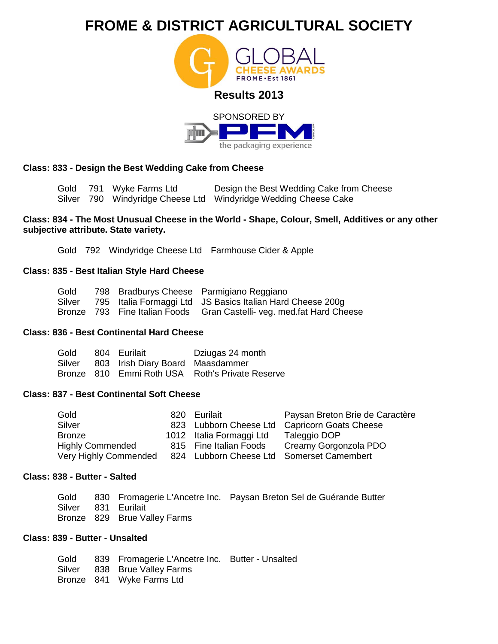



# **Class: 833 - Design the Best Wedding Cake from Cheese**

Gold 791 Wyke Farms Ltd Silver 790 Windyridge Cheese Ltd Windyridge Wedding Cheese Cake Design the Best Wedding Cake from Cheese

## **Class: 834 - The Most Unusual Cheese in the World - Shape, Colour, Smell, Additives or any other subjective attribute. State variety.**

Gold 792 Windyridge Cheese Ltd Farmhouse Cider & Apple

## **Class: 835 - Best Italian Style Hard Cheese**

| Gold   |  | 798 Bradburys Cheese Parmigiano Reggiano                               |
|--------|--|------------------------------------------------------------------------|
| Silver |  | 795 Italia Formaggi Ltd JS Basics Italian Hard Cheese 200g             |
|        |  | Bronze 793 Fine Italian Foods Gran Castelli- veg. med. fat Hard Cheese |

### **Class: 836 - Best Continental Hard Cheese**

| Gold | 804 Eurilait                            | Dziugas 24 month                                |
|------|-----------------------------------------|-------------------------------------------------|
|      | Silver 803 Irish Diary Board Maasdammer |                                                 |
|      |                                         | Bronze 810 Emmi Roth USA Roth's Private Reserve |

# **Class: 837 - Best Continental Soft Cheese**

| Gold                    | 820 | Eurilait                 | Paysan Breton Brie de Caractère           |
|-------------------------|-----|--------------------------|-------------------------------------------|
| Silver                  |     | 823 Lubborn Cheese Ltd   | Capricorn Goats Cheese                    |
| <b>Bronze</b>           |     | 1012 Italia Formaggi Ltd | Taleggio DOP                              |
| <b>Highly Commended</b> |     | 815 Fine Italian Foods   | Creamy Gorgonzola PDO                     |
| Very Highly Commended   |     |                          | 824 Lubborn Cheese Ltd Somerset Camembert |

### **Class: 838 - Butter - Salted**

|                     |                              | Gold 830 Fromagerie L'Ancetre Inc. Paysan Breton Sel de Guérande Butter |
|---------------------|------------------------------|-------------------------------------------------------------------------|
| Silver 831 Eurilait |                              |                                                                         |
|                     | Bronze 829 Brue Valley Farms |                                                                         |

# **Class: 839 - Butter - Unsalted**

|  | Gold 839 Fromagerie L'Ancetre Inc. Butter - Unsalted |  |
|--|------------------------------------------------------|--|
|  | Silver 838 Brue Valley Farms                         |  |
|  | Bronze 841 Wyke Farms Ltd                            |  |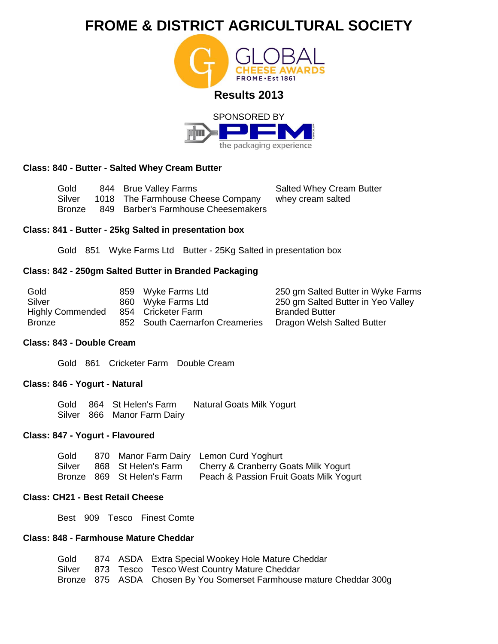



# **Class: 840 - Butter - Salted Whey Cream Butter**

Gold Silver Bronze 844 Brue Valley Farms 1018 The Farmhouse Cheese Company 849 Barber's Farmhouse Cheesemakers Salted Whey Cream Butter whey cream salted

## **Class: 841 - Butter - 25kg Salted in presentation box**

Gold 851 Wyke Farms Ltd Butter - 25Kg Salted in presentation box

# **Class: 842 - 250gm Salted Butter in Branded Packaging**

| Gold                    | 859 Wyke Farms Ltd              | 250 gm Salted Butter in Wyke Farms |
|-------------------------|---------------------------------|------------------------------------|
| Silver                  | 860 Wyke Farms Ltd              | 250 gm Salted Butter in Yeo Valley |
| <b>Highly Commended</b> | 854 Cricketer Farm              | <b>Branded Butter</b>              |
| <b>Bronze</b>           | 852 South Caernarfon Creameries | Dragon Welsh Salted Butter         |

#### **Class: 843 - Double Cream**

Gold 861 Cricketer Farm Double Cream

## **Class: 846 - Yogurt - Natural**

Gold 864 St Helen's Farm Silver 866 Manor Farm Dairy Natural Goats Milk Yogurt

# **Class: 847 - Yogurt - Flavoured**

| Gold   |                            | 870 Manor Farm Dairy Lemon Curd Yoghurt |
|--------|----------------------------|-----------------------------------------|
| Silver | 868 St Helen's Farm        | Cherry & Cranberry Goats Milk Yogurt    |
|        | Bronze 869 St Helen's Farm | Peach & Passion Fruit Goats Milk Yogurt |

## **Class: CH21 - Best Retail Cheese**

Best 909 Tesco Finest Comte

# **Class: 848 - Farmhouse Mature Cheddar**

|  | Gold 874 ASDA Extra Special Wookey Hole Mature Cheddar               |
|--|----------------------------------------------------------------------|
|  | Silver 873 Tesco Tesco West Country Mature Cheddar                   |
|  | Bronze 875 ASDA Chosen By You Somerset Farmhouse mature Cheddar 300g |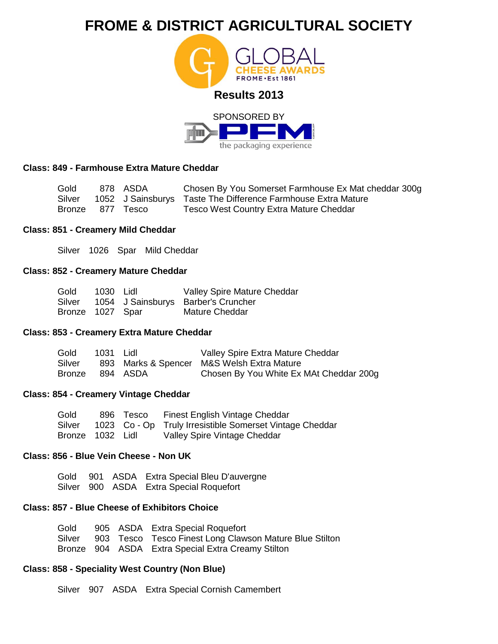



# **Class: 849 - Farmhouse Extra Mature Cheddar**

| Gold   | 878 ASDA         | Chosen By You Somerset Farmhouse Ex Mat cheddar 300g          |
|--------|------------------|---------------------------------------------------------------|
| Silver |                  | 1052 J Sainsburys Taste The Difference Farmhouse Extra Mature |
|        | Bronze 877 Tesco | <b>Tesco West Country Extra Mature Cheddar</b>                |

## **Class: 851 - Creamery Mild Cheddar**

Silver 1026 Spar Mild Cheddar

### **Class: 852 - Creamery Mature Cheddar**

| Gold             | 1030 Lidl | Valley Spire Mature Cheddar                |
|------------------|-----------|--------------------------------------------|
|                  |           | Silver 1054 J Sainsburys Barber's Cruncher |
| Bronze 1027 Spar |           | Mature Cheddar                             |

# **Class: 853 - Creamery Extra Mature Cheddar**

| Gold            | 1031 Lidl | Valley Spire Extra Mature Cheddar          |
|-----------------|-----------|--------------------------------------------|
| Silver          |           | 893 Marks & Spencer M&S Welsh Extra Mature |
| Bronze 894 ASDA |           | Chosen By You White Ex MAt Cheddar 200g    |

# **Class: 854 - Creamery Vintage Cheddar**

| Gold             |  | 896 Tesco Finest English Vintage Cheddar                 |
|------------------|--|----------------------------------------------------------|
| Silver           |  | 1023 Co - Op Truly Irresistible Somerset Vintage Cheddar |
| Bronze 1032 Lidl |  | Valley Spire Vintage Cheddar                             |

## **Class: 856 - Blue Vein Cheese - Non UK**

Gold Silver 901 900 ASDA ASDA Extra Special Bleu D'auvergne Extra Special Roquefort

# **Class: 857 - Blue Cheese of Exhibitors Choice**

|  | Gold 905 ASDA Extra Special Roquefort                          |
|--|----------------------------------------------------------------|
|  | Silver 903 Tesco Tesco Finest Long Clawson Mature Blue Stilton |
|  | Bronze 904 ASDA Extra Special Extra Creamy Stilton             |

# **Class: 858 - Speciality West Country (Non Blue)**

Silver 907 ASDA Extra Special Cornish Camembert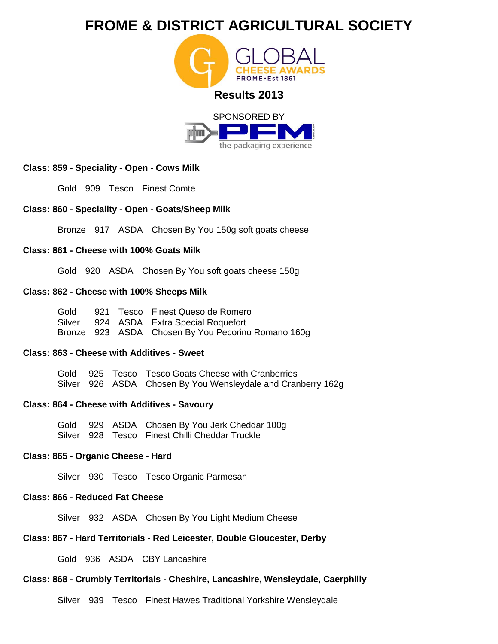



## **Class: 859 - Speciality - Open - Cows Milk**

Gold 909 Tesco Finest Comte

## **Class: 860 - Speciality - Open - Goats/Sheep Milk**

Bronze 917 ASDA Chosen By You 150g soft goats cheese

### **Class: 861 - Cheese with 100% Goats Milk**

Gold 920 ASDA Chosen By You soft goats cheese 150g

### **Class: 862 - Cheese with 100% Sheeps Milk**

Gold **Silver** Bronze 923 ASDA Chosen By You Pecorino Romano 160g 921 Tesco Finest Queso de Romero 924 ASDA Extra Special Roquefort

#### **Class: 863 - Cheese with Additives - Sweet**

Gold Silver 926 ASDA Chosen By You Wensleydale and Cranberry 162g 925 Tesco Tesco Goats Cheese with Cranberries

## **Class: 864 - Cheese with Additives - Savoury**

Gold 929 ASDA Chosen By You Jerk Cheddar 100g Silver 928 Tesco Finest Chilli Cheddar Truckle

# **Class: 865 - Organic Cheese - Hard**

Silver 930 Tesco Tesco Organic Parmesan

# **Class: 866 - Reduced Fat Cheese**

Silver 932 ASDA Chosen By You Light Medium Cheese

# **Class: 867 - Hard Territorials - Red Leicester, Double Gloucester, Derby**

Gold 936 ASDA CBY Lancashire

# **Class: 868 - Crumbly Territorials - Cheshire, Lancashire, Wensleydale, Caerphilly**

Silver 939 Tesco Finest Hawes Traditional Yorkshire Wensleydale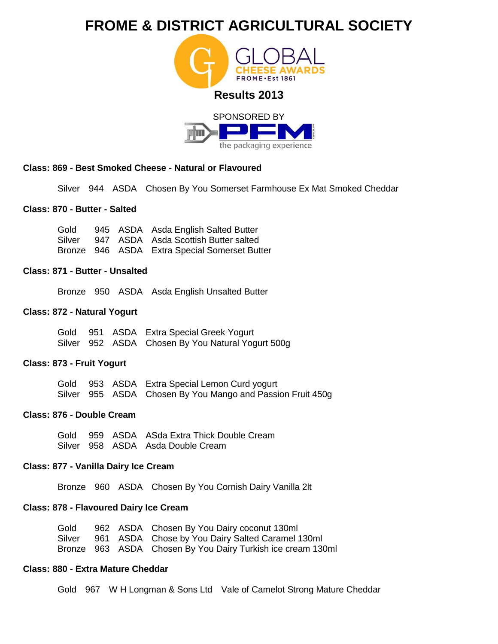

the packaging experience

## **Class: 869 - Best Smoked Cheese - Natural or Flavoured**

Silver 944 ASDA Chosen By You Somerset Farmhouse Ex Mat Smoked Cheddar

### **Class: 870 - Butter - Salted**

Gold Silver Bronze 946 ASDA Extra Special Somerset Butter 945 ASDA Asda English Salted Butter 947 ASDA Asda Scottish Butter salted

#### **Class: 871 - Butter - Unsalted**

Bronze 950 ASDA Asda English Unsalted Butter

### **Class: 872 - Natural Yogurt**

|  | Gold 951 ASDA Extra Special Greek Yogurt          |
|--|---------------------------------------------------|
|  | Silver 952 ASDA Chosen By You Natural Yogurt 500g |

#### **Class: 873 - Fruit Yogurt**

|  | Gold 953 ASDA Extra Special Lemon Curd yogurt              |
|--|------------------------------------------------------------|
|  | Silver 955 ASDA Chosen By You Mango and Passion Fruit 450g |

#### **Class: 876 - Double Cream**

|  | Gold 959 ASDA ASda Extra Thick Double Cream |
|--|---------------------------------------------|
|  | Silver 958 ASDA Asda Double Cream           |

## **Class: 877 - Vanilla Dairy Ice Cream**

Bronze 960 ASDA Chosen By You Cornish Dairy Vanilla 2lt

## **Class: 878 - Flavoured Dairy Ice Cream**

|  | Gold 962 ASDA Chosen By You Dairy coconut 130ml             |
|--|-------------------------------------------------------------|
|  | Silver 961 ASDA Chose by You Dairy Salted Caramel 130ml     |
|  | Bronze 963 ASDA Chosen By You Dairy Turkish ice cream 130ml |

## **Class: 880 - Extra Mature Cheddar**

Gold 967 W H Longman & Sons Ltd Vale of Camelot Strong Mature Cheddar